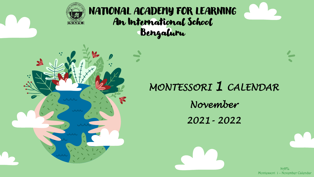

# NATIONAL ACADEMY FOR LEARNING An International School Bengaluru



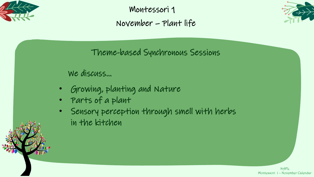

Montessori 1 November – Plant life



Theme-based Synchronous Sessions

#### We discuss…

- Growing, planting and Nature
- Parts of a plant
- Sensory perception through smell with herbs in the kitchen

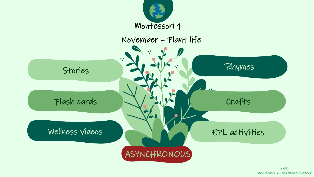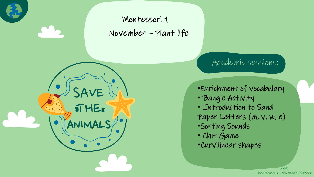## Montessori 1 November – Plant life

SAVE

**THEE** 

## Academic sessions:

#### •Enrichment of vocabulary

- Bangle Activity
- Introduction to Sand
- Paper Letters (m, v, w, e) •Sorting Sounds
- Chit Game
- •Curvilinear shapes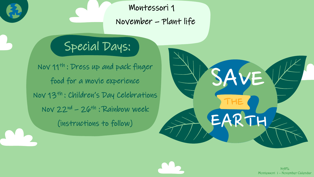Montessori 1 November – Plant life

# Special Days:

Nov 11th : Dress up and pack finger food for a movie experience Nov 13th : Children's Day Celebrations Nov 22nd – 26th : Rainbow week (instructions to follow)

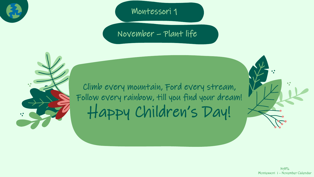

Montessori 1

November – Plant life



Climb every mountain, Ford every stream, Follow every rainbow, till you find your dream! Happy Children's Day!